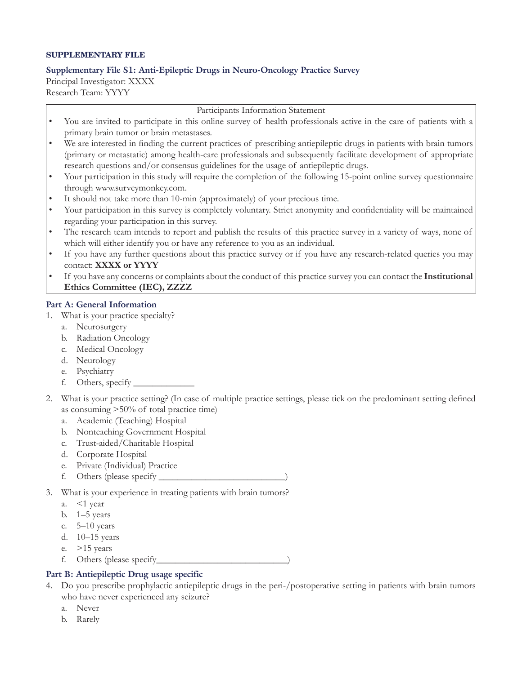## **SUPPLEMENTARY FILE**

## **Supplementary File S1: Anti‑Epileptic Drugs in Neuro‑Oncology Practice Survey**

Principal Investigator: XXXX Research Team: YYYY

Participants Information Statement

- You are invited to participate in this online survey of health professionals active in the care of patients with a primary brain tumor or brain metastases.
- We are interested in finding the current practices of prescribing antiepileptic drugs in patients with brain tumors (primary or metastatic) among health-care professionals and subsequently facilitate development of appropriate research questions and/or consensus guidelines for the usage of antiepileptic drugs.
- Your participation in this study will require the completion of the following 15-point online survey questionnaire through www.surveymonkey.com.
- It should not take more than 10-min (approximately) of your precious time.
- Your participation in this survey is completely voluntary. Strict anonymity and confidentiality will be maintained regarding your participation in this survey.
- The research team intends to report and publish the results of this practice survey in a variety of ways, none of which will either identify you or have any reference to you as an individual.
- If you have any further questions about this practice survey or if you have any research-related queries you may contact: **XXXX or YYYY**
- If you have any concerns or complaints about the conduct of this practice survey you can contact the **Institutional Ethics Committee (IEC), ZZZZ**

## **Part A: General Information**

- 1. What is your practice specialty?
	- a. Neurosurgery
	- b. Radiation Oncology
	- c. Medical Oncology
	- d. Neurology
	- e. Psychiatry
	- f. Others, specify \_\_\_\_\_\_\_\_\_\_\_\_\_
- 2. What is your practice setting? (In case of multiple practice settings, please tick on the predominant setting defined as consuming >50% of total practice time)
	- a. Academic (Teaching) Hospital
	- b. Nonteaching Government Hospital
	- c. Trust‑aided/Charitable Hospital
	- d. Corporate Hospital
	- e. Private (Individual) Practice
	- f. Others (please specify \_\_\_\_\_\_\_\_\_\_\_\_\_\_\_\_\_\_\_\_\_\_\_\_\_\_\_)
- 3. What is your experience in treating patients with brain tumors?
	- a. <1 year
	- b. 1–5 years
	- c. 5–10 years
	- d. 10–15 years
	- e.  $>15$  years
	- f. Others (please specify\_\_\_\_\_\_\_\_\_\_\_\_\_\_\_\_\_\_\_\_\_\_\_\_\_\_\_\_)

## **Part B: Antiepileptic Drug usage specific**

- 4. Do you prescribe prophylactic antiepileptic drugs in the peri‑/postoperative setting in patients with brain tumors who have never experienced any seizure?
	- a. Never
	- b. Rarely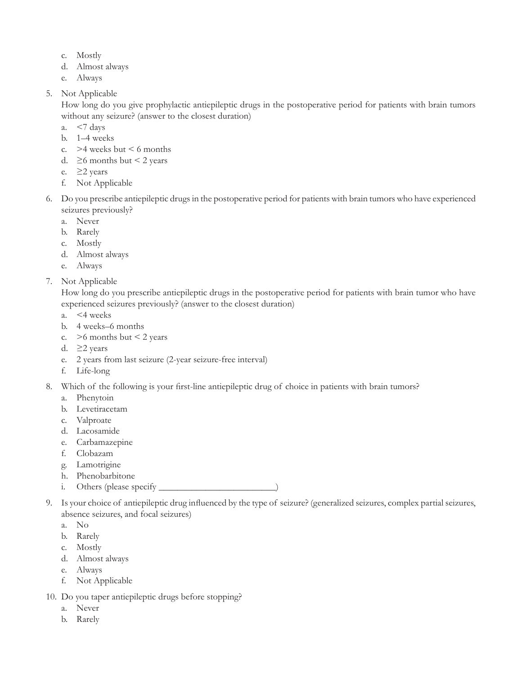- c. Mostly
- d. Almost always
- e. Always
- 5. Not Applicable

How long do you give prophylactic antiepileptic drugs in the postoperative period for patients with brain tumors without any seizure? (answer to the closest duration)

- a. <7 days
- b. 1–4 weeks
- c.  $>4$  weeks but < 6 months
- d.  $\geq$ 6 months but < 2 years
- e.  $\geq$ 2 years
- f. Not Applicable
- 6. Do you prescribe antiepileptic drugs in the postoperative period for patients with brain tumors who have experienced seizures previously?
	- a. Never
	- b. Rarely
	- c. Mostly
	- d. Almost always
	- e. Always
- 7. Not Applicable

How long do you prescribe antiepileptic drugs in the postoperative period for patients with brain tumor who have experienced seizures previously? (answer to the closest duration)

- a. <4 weeks
- b. 4 weeks–6 months
- c.  $>6$  months but < 2 years
- d.  $\geq$  years
- e. 2 years from last seizure (2‑year seizure‑free interval)
- f. Life‑long
- 8. Which of the following is your first-line antiepileptic drug of choice in patients with brain tumors?
	- a. Phenytoin
	- b. Levetiracetam
	- c. Valproate
	- d. Lacosamide
	- e. Carbamazepine
	- f. Clobazam
	- g. Lamotrigine
	- h. Phenobarbitone
	- i. Others (please specify
- 9. Is your choice of antiepileptic drug influenced by the type of seizure? (generalized seizures, complex partial seizures, absence seizures, and focal seizures)
	- a. No
	- b. Rarely
	- c. Mostly
	- d. Almost always
	- e. Always
	- f. Not Applicable
- 10. Do you taper antiepileptic drugs before stopping?
	- a. Never
	- b. Rarely